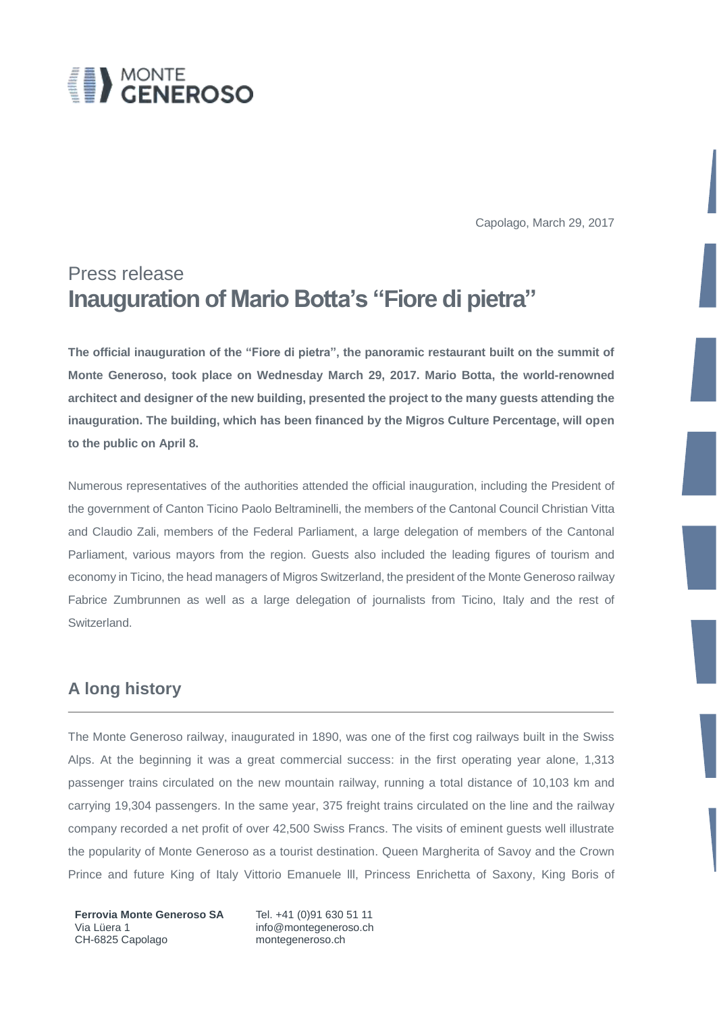

Capolago, March 29, 2017

# Press release **Inauguration of Mario Botta's "Fiore di pietra"**

**The official inauguration of the "Fiore di pietra", the panoramic restaurant built on the summit of Monte Generoso, took place on Wednesday March 29, 2017. Mario Botta, the world-renowned architect and designer of the new building, presented the project to the many guests attending the inauguration. The building, which has been financed by the Migros Culture Percentage, will open to the public on April 8.** 

Numerous representatives of the authorities attended the official inauguration, including the President of the government of Canton Ticino Paolo Beltraminelli, the members of the Cantonal Council Christian Vitta and Claudio Zali, members of the Federal Parliament, a large delegation of members of the Cantonal Parliament, various mayors from the region. Guests also included the leading figures of tourism and economy in Ticino, the head managers of Migros Switzerland, the president of the Monte Generoso railway Fabrice Zumbrunnen as well as a large delegation of journalists from Ticino, Italy and the rest of Switzerland.

### **A long history**

The Monte Generoso railway, inaugurated in 1890, was one of the first cog railways built in the Swiss Alps. At the beginning it was a great commercial success: in the first operating year alone, 1,313 passenger trains circulated on the new mountain railway, running a total distance of 10,103 km and carrying 19,304 passengers. In the same year, 375 freight trains circulated on the line and the railway company recorded a net profit of over 42,500 Swiss Francs. The visits of eminent guests well illustrate the popularity of Monte Generoso as a tourist destination. Queen Margherita of Savoy and the Crown Prince and future King of Italy Vittorio Emanuele lll, Princess Enrichetta of Saxony, King Boris of

**Ferrovia Monte Generoso SA** Tel. +41 (0)91 630 51 11 Via Lüera 1 info@montegeneroso.ch CH-6825 Capolago montegeneroso.ch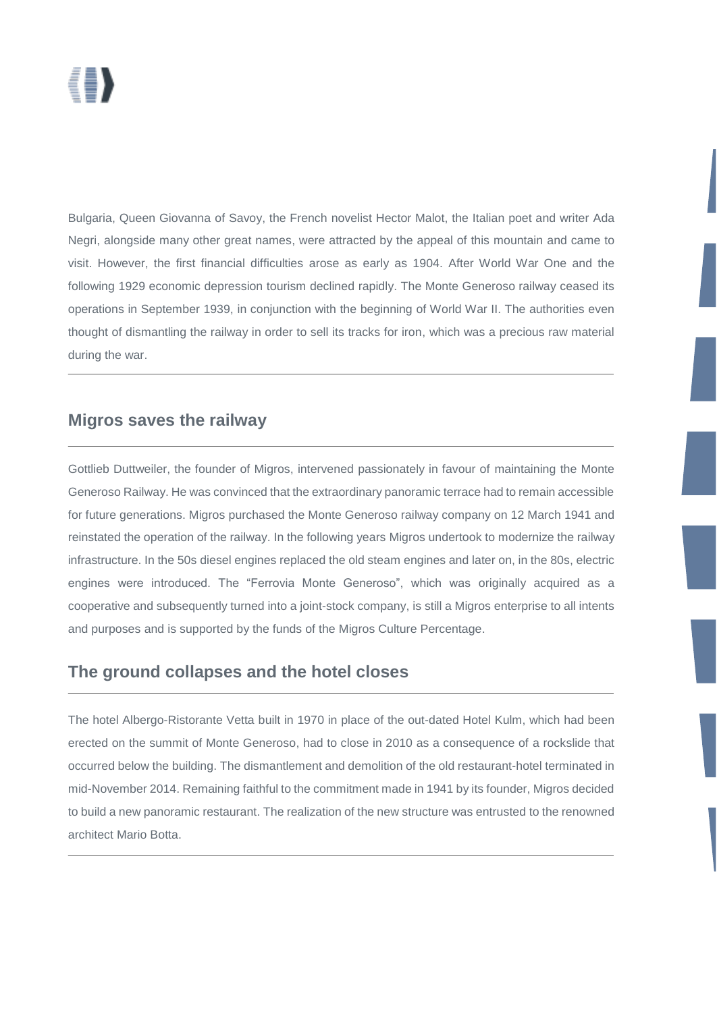Bulgaria, Queen Giovanna of Savoy, the French novelist Hector Malot, the Italian poet and writer Ada Negri, alongside many other great names, were attracted by the appeal of this mountain and came to visit. However, the first financial difficulties arose as early as 1904. After World War One and the following 1929 economic depression tourism declined rapidly. The Monte Generoso railway ceased its operations in September 1939, in conjunction with the beginning of World War II. The authorities even thought of dismantling the railway in order to sell its tracks for iron, which was a precious raw material during the war.

### **Migros saves the railway**

Gottlieb Duttweiler, the founder of Migros, intervened passionately in favour of maintaining the Monte Generoso Railway. He was convinced that the extraordinary panoramic terrace had to remain accessible for future generations. Migros purchased the Monte Generoso railway company on 12 March 1941 and reinstated the operation of the railway. In the following years Migros undertook to modernize the railway infrastructure. In the 50s diesel engines replaced the old steam engines and later on, in the 80s, electric engines were introduced. The "Ferrovia Monte Generoso", which was originally acquired as a cooperative and subsequently turned into a joint-stock company, is still a Migros enterprise to all intents and purposes and is supported by the funds of the Migros Culture Percentage.

### **The ground collapses and the hotel closes**

The hotel Albergo-Ristorante Vetta built in 1970 in place of the out-dated Hotel Kulm, which had been erected on the summit of Monte Generoso, had to close in 2010 as a consequence of a rockslide that occurred below the building. The dismantlement and demolition of the old restaurant-hotel terminated in mid-November 2014. Remaining faithful to the commitment made in 1941 by its founder, Migros decided to build a new panoramic restaurant. The realization of the new structure was entrusted to the renowned architect Mario Botta.